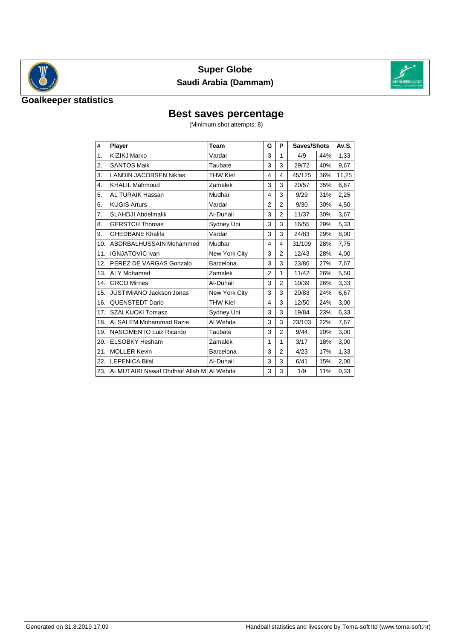

## **Super Globe Saudi Arabia (Dammam)**



#### **Goalkeeper statistics**

## **Best saves percentage**

(Minimum shot attempts: 8)

| #              | Player                                     | <b>Team</b>     | G              | P              | Saves/Shots |     | Av.S. |
|----------------|--------------------------------------------|-----------------|----------------|----------------|-------------|-----|-------|
| $\mathbf{1}$ . | KIZIKJ Marko                               | Vardar          | 3              | 1              | 4/9         | 44% | 1,33  |
| 2.             | <b>SANTOS Maik</b>                         | Taubate         | 3              | 3              | 29/72       | 40% | 9,67  |
| 3.             | <b>LANDIN JACOBSEN Niklas</b>              | <b>THW Kiel</b> | 4              | 4              | 45/125      | 36% | 11,25 |
| 4.             | <b>KHALIL Mahmoud</b>                      | Zamalek         | 3              | 3              | 20/57       | 35% | 6,67  |
| 5.             | <b>AL TURAIK Hassan</b>                    | Mudhar          | 4              | 3              | 9/29        | 31% | 2,25  |
| 6.             | <b>KUGIS Arturs</b>                        | Vardar          | $\overline{2}$ | $\overline{2}$ | 9/30        | 30% | 4,50  |
| 7.             | <b>SLAHDJI Abdelmalik</b>                  | Al-Duhail       | 3              | $\overline{2}$ | 11/37       | 30% | 3,67  |
| 8.             | <b>GERSTCH Thomas</b>                      | Sydney Uni      | 3              | 3              | 16/55       | 29% | 5,33  |
| 9.             | <b>GHEDBANE Khalifa</b>                    | Vardar          | 3              | 3              | 24/83       | 29% | 8,00  |
| 10.            | ABDRBALHUSSAIN Mohammed                    | Mudhar          | 4              | 4              | 31/109      | 28% | 7,75  |
| 11.            | <b>IGNJATOVIC Ivan</b>                     | New York City   | 3              | $\overline{2}$ | 12/43       | 28% | 4,00  |
| 12.            | PEREZ DE VARGAS Gonzalo                    | Barcelona       | 3              | 3              | 23/86       | 27% | 7,67  |
| 13.            | <b>ALY Mohamed</b>                         | Zamalek         | $\overline{2}$ | 1              | 11/42       | 26% | 5,50  |
| 14.            | <b>GRCO Mirnes</b>                         | Al-Duhail       | 3              | $\overline{2}$ | 10/39       | 26% | 3,33  |
| 15.            | JUSTIMIANO Jackson Jonas                   | New York City   | 3              | 3              | 20/83       | 24% | 6,67  |
| 16.            | <b>QUENSTEDT Dario</b>                     | <b>THW Kiel</b> | 4              | 3              | 12/50       | 24% | 3,00  |
| 17.            | <b>SZALKUCKI Tomasz</b>                    | Sydney Uni      | 3              | 3              | 19/84       | 23% | 6,33  |
| 18.            | <b>ALSALEM Mohammad Razie</b>              | Al Wehda        | 3              | 3              | 23/103      | 22% | 7,67  |
| 19.            | NASCIMENTO Luiz Ricardo                    | Taubate         | 3              | $\overline{2}$ | 9/44        | 20% | 3,00  |
| 20.            | <b>ELSOBKY Hesham</b>                      | Zamalek         | 1              | 1              | 3/17        | 18% | 3,00  |
| 21.            | <b>MOLLER Kevin</b>                        | Barcelona       | 3              | $\overline{2}$ | 4/23        | 17% | 1,33  |
| 22.            | <b>LEPENICA Bilal</b>                      | Al-Duhail       | 3              | 3              | 6/41        | 15% | 2,00  |
| 23.            | ALMUTAIRI Nawaf Dhdhaif Allah M   Al Wehda |                 | 3              | 3              | 1/9         | 11% | 0,33  |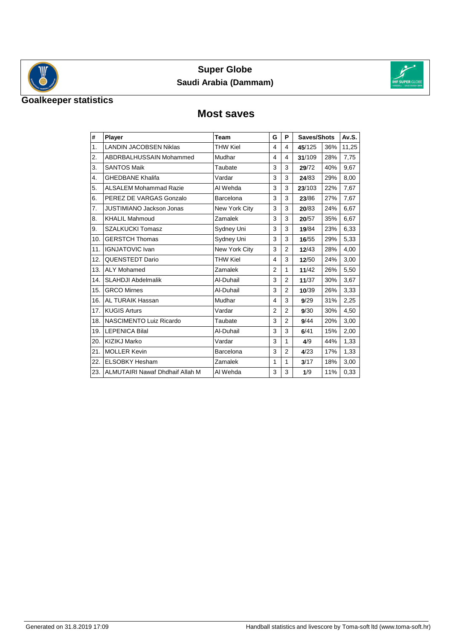

## **Super Globe Saudi Arabia (Dammam)**



## **Goalkeeper statistics**

#### **Most saves**

| #   | Player                                 | <b>Team</b>     | G              | P              | Saves/Shots |     | Av.S. |
|-----|----------------------------------------|-----------------|----------------|----------------|-------------|-----|-------|
| 1.  | <b>LANDIN JACOBSEN Niklas</b>          | <b>THW Kiel</b> | 4              | 4              | 45/125      | 36% | 11,25 |
| 2.  | ABDRBALHUSSAIN Mohammed                | Mudhar          | 4              | 4              | 31/109      | 28% | 7,75  |
| 3.  | <b>SANTOS Maik</b>                     | Taubate         | 3              | 3              | 29/72       | 40% | 9,67  |
| 4.  | <b>GHEDBANE Khalifa</b>                | Vardar          | 3              | 3              | 24/83       | 29% | 8,00  |
| 5.  | <b>ALSALEM Mohammad Razie</b>          | Al Wehda        | 3              | 3              | 23/103      | 22% | 7,67  |
| 6.  | PEREZ DE VARGAS Gonzalo                | Barcelona       | 3              | 3              | 23/86       | 27% | 7,67  |
| 7.  | <b>JUSTIMIANO Jackson Jonas</b>        | New York City   | 3              | 3              | 20/83       | 24% | 6,67  |
| 8.  | <b>KHALIL Mahmoud</b>                  | Zamalek         | 3              | 3              | 20/57       | 35% | 6,67  |
| 9.  | <b>SZALKUCKI Tomasz</b>                | Sydney Uni      | 3              | 3              | 19/84       | 23% | 6,33  |
| 10. | <b>GERSTCH Thomas</b>                  | Sydney Uni      | 3              | 3              | 16/55       | 29% | 5,33  |
| 11. | <b>IGNJATOVIC Ivan</b>                 | New York City   | 3              | $\overline{2}$ | 12/43       | 28% | 4,00  |
| 12. | QUENSTEDT Dario                        | <b>THW Kiel</b> | 4              | 3              | 12/50       | 24% | 3,00  |
| 13. | <b>ALY Mohamed</b>                     | Zamalek         | $\overline{2}$ | 1              | 11/42       | 26% | 5,50  |
| 14. | <b>SLAHDJI Abdelmalik</b>              | Al-Duhail       | 3              | $\overline{2}$ | 11/37       | 30% | 3,67  |
| 15. | <b>GRCO Mirnes</b>                     | Al-Duhail       | 3              | 2              | 10/39       | 26% | 3,33  |
| 16. | <b>AL TURAIK Hassan</b>                | Mudhar          | 4              | 3              | 9/29        | 31% | 2,25  |
| 17. | <b>KUGIS Arturs</b>                    | Vardar          | $\overline{2}$ | $\overline{2}$ | 9/30        | 30% | 4,50  |
| 18. | NASCIMENTO Luiz Ricardo                | Taubate         | 3              | $\overline{2}$ | 9/44        | 20% | 3,00  |
| 19. | <b>LEPENICA Bilal</b>                  | Al-Duhail       | 3              | 3              | 6/41        | 15% | 2,00  |
| 20. | KIZIKJ Marko                           | Vardar          | 3              | 1              | 4/9         | 44% | 1,33  |
| 21. | <b>MOLLER Kevin</b>                    | Barcelona       | 3              | $\overline{2}$ | 4/23        | 17% | 1,33  |
| 22. | <b>ELSOBKY Hesham</b>                  | Zamalek         | 1              | 1              | 3/17        | 18% | 3,00  |
| 23. | <b>ALMUTAIRI Nawaf Dhdhaif Allah M</b> | Al Wehda        | 3              | 3              | 1/9         | 11% | 0,33  |